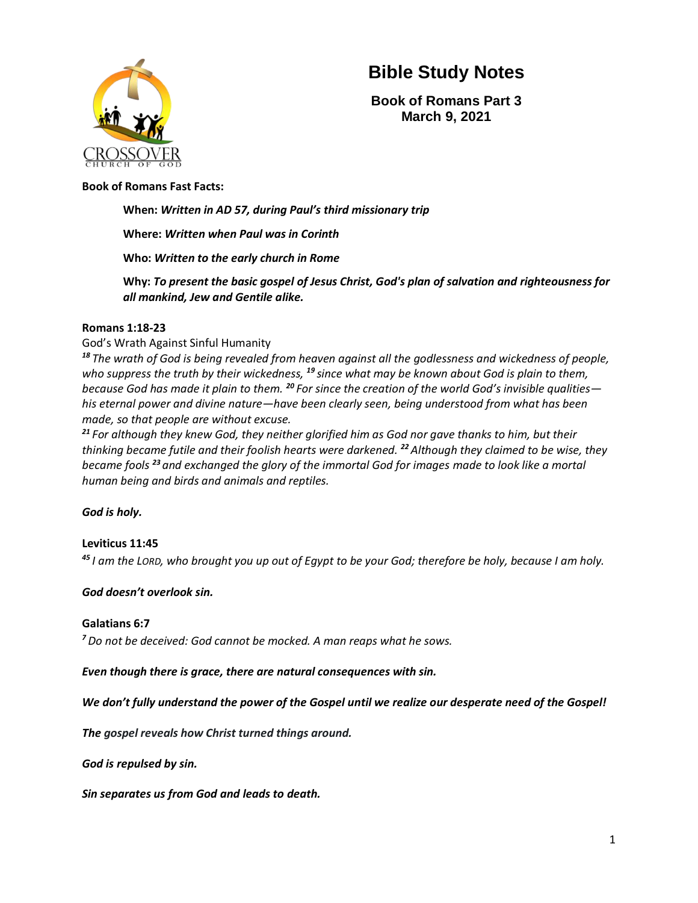

**Book of Romans Part 3 March 9, 2021**

#### **Book of Romans Fast Facts:**

#### **When:** *Written in AD 57, during Paul's third missionary trip*

#### **Where:** *Written when Paul was in Corinth*

#### **Who:** *Written to the early church in Rome*

**Why:** *To present the basic gospel of Jesus Christ, God's plan of salvation and righteousness for all mankind, Jew and Gentile alike.*

#### **Romans 1:18-23**

#### God's Wrath Against Sinful Humanity

*<sup>18</sup> The wrath of God is being revealed from heaven against all the godlessness and wickedness of people, who suppress the truth by their wickedness, <sup>19</sup> since what may be known about God is plain to them, because God has made it plain to them. <sup>20</sup> For since the creation of the world God's invisible qualities his eternal power and divine nature—have been clearly seen, being understood from what has been made, so that people are without excuse.*

*<sup>21</sup> For although they knew God, they neither glorified him as God nor gave thanks to him, but their thinking became futile and their foolish hearts were darkened. <sup>22</sup>Although they claimed to be wise, they became fools <sup>23</sup> and exchanged the glory of the immortal God for images made to look like a mortal human being and birds and animals and reptiles.*

#### *God is holy.*

#### **Leviticus 11:45**

*<sup>45</sup> I am the LORD, who brought you up out of Egypt to be your God; therefore be holy, because I am holy.*

#### *God doesn't overlook sin.*

#### **Galatians 6:7**

*<sup>7</sup> Do not be deceived: God cannot be mocked. A man reaps what he sows.*

*Even though there is grace, there are natural consequences with sin.*

*We don't fully understand the power of the Gospel until we realize our desperate need of the Gospel!*

*The gospel reveals how Christ turned things around.*

*God is repulsed by sin.* 

*Sin separates us from God and leads to death.*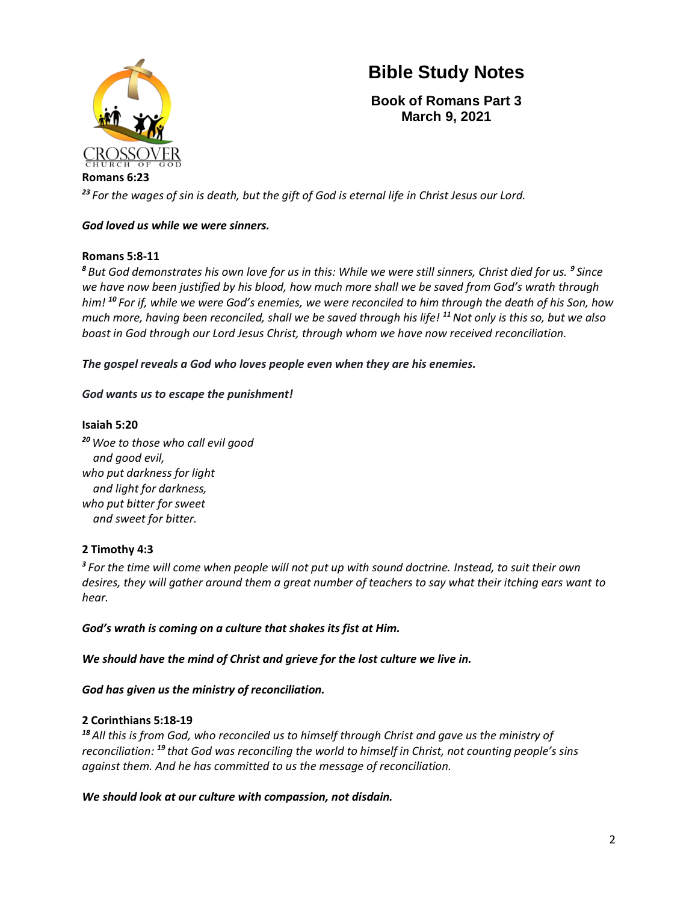

**Book of Romans Part 3 March 9, 2021**

**Romans 6:23** *<sup>23</sup> For the wages of sin is death, but the gift of God is eternal life in Christ Jesus our Lord.*

# *God loved us while we were sinners.*

# **Romans 5:8-11**

*<sup>8</sup> But God demonstrates his own love for us in this: While we were still sinners, Christ died for us. <sup>9</sup> Since we have now been justified by his blood, how much more shall we be saved from God's wrath through him! <sup>10</sup> For if, while we were God's enemies, we were reconciled to him through the death of his Son, how much more, having been reconciled, shall we be saved through his life! <sup>11</sup>Not only is this so, but we also boast in God through our Lord Jesus Christ, through whom we have now received reconciliation.*

*The gospel reveals a God who loves people even when they are his enemies.*

# *God wants us to escape the punishment!*

# **Isaiah 5:20**

*<sup>20</sup> Woe to those who call evil good and good evil, who put darkness for light and light for darkness, who put bitter for sweet and sweet for bitter.*

# **2 Timothy 4:3**

*3 For the time will come when people will not put up with sound doctrine. Instead, to suit their own desires, they will gather around them a great number of teachers to say what their itching ears want to hear.*

*God's wrath is coming on a culture that shakes its fist at Him.*

*We should have the mind of Christ and grieve for the lost culture we live in.*

# *God has given us the ministry of reconciliation.*

# **2 Corinthians 5:18-19**

*<sup>18</sup> All this is from God, who reconciled us to himself through Christ and gave us the ministry of reconciliation: <sup>19</sup> that God was reconciling the world to himself in Christ, not counting people's sins against them. And he has committed to us the message of reconciliation.*

*We should look at our culture with compassion, not disdain.*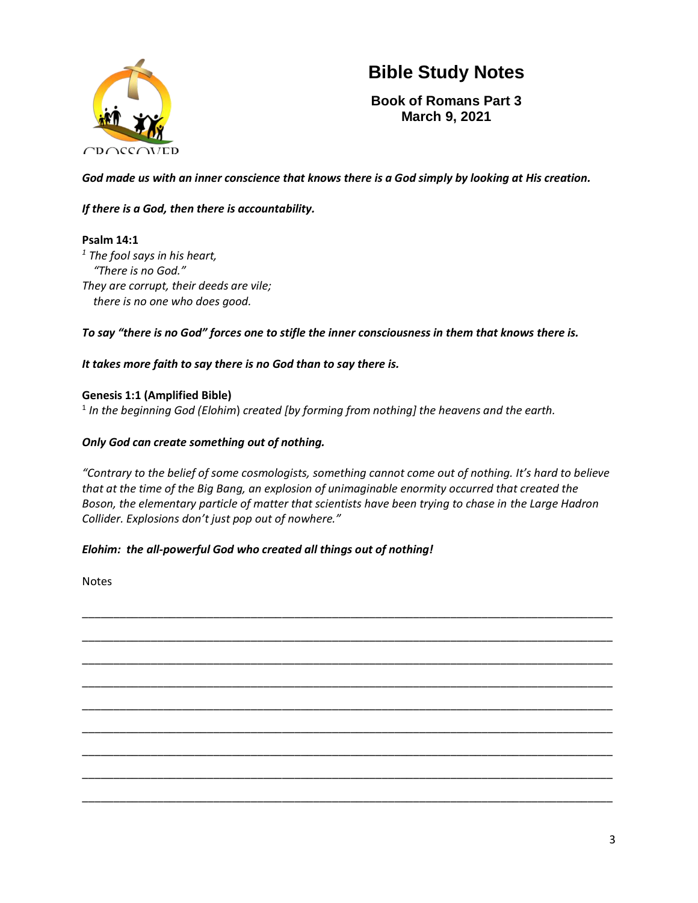

**Book of Romans Part 3 March 9, 2021**

*God made us with an inner conscience that knows there is a God simply by looking at His creation.* 

# *If there is a God, then there is accountability.*

# **Psalm 14:1**

*1 The fool says in his heart, "There is no God." They are corrupt, their deeds are vile; there is no one who does good.*

*To say "there is no God" forces one to stifle the inner consciousness in them that knows there is.*

# *It takes more faith to say there is no God than to say there is.*

# **Genesis 1:1 (Amplified Bible)**

1 *In the beginning God (Elohim*) *created [by forming from nothing] the heavens and the earth.*

# *Only God can create something out of nothing.*

*"Contrary to the belief of some cosmologists, something cannot come out of nothing. It's hard to believe that at the time of the Big Bang, an explosion of unimaginable enormity occurred that created the Boson, the elementary particle of matter that scientists have been trying to chase in the Large Hadron Collider. Explosions don't just pop out of nowhere."*

# *Elohim: the all-powerful God who created all things out of nothing!*

Notes

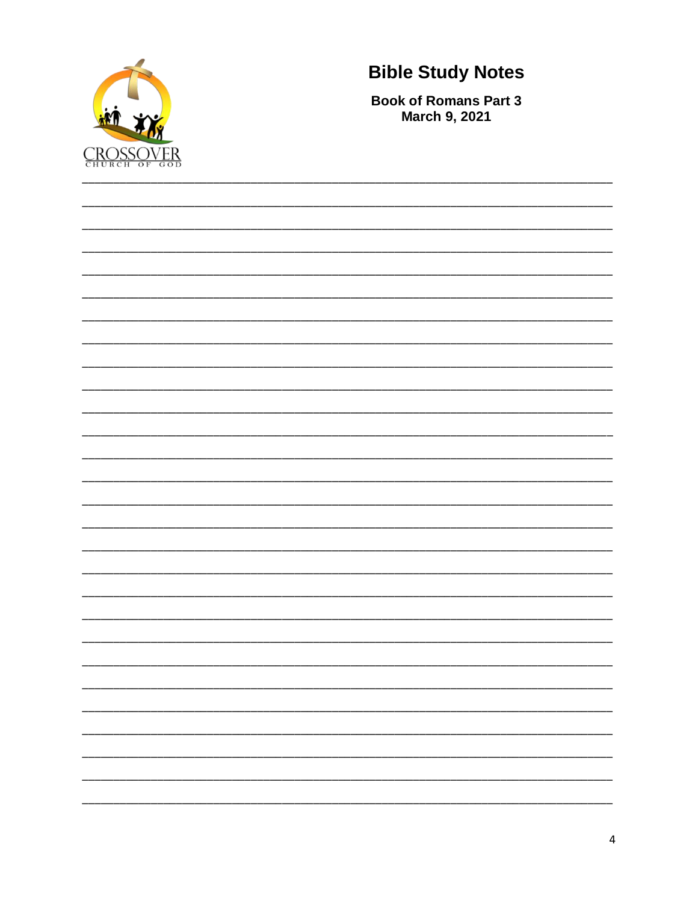

**Book of Romans Part 3 March 9, 2021**